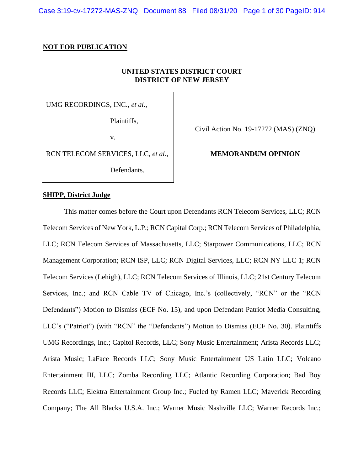Case 3:19-cv-17272-MAS-ZNQ Document 88 Filed 08/31/20 Page 1 of 30 PageID: 914

### **NOT FOR PUBLICATION**

# **UNITED STATES DISTRICT COURT DISTRICT OF NEW JERSEY**

UMG RECORDINGS, INC., *et al*.,

Plaintiffs,

v.

RCN TELECOM SERVICES, LLC, *et al.*,

Defendants.

Civil Action No. 19-17272 (MAS) (ZNQ)

# **MEMORANDUM OPINION**

### **SHIPP, District Judge**

This matter comes before the Court upon Defendants RCN Telecom Services, LLC; RCN Telecom Services of New York, L.P.; RCN Capital Corp.; RCN Telecom Services of Philadelphia, LLC; RCN Telecom Services of Massachusetts, LLC; Starpower Communications, LLC; RCN Management Corporation; RCN ISP, LLC; RCN Digital Services, LLC; RCN NY LLC 1; RCN Telecom Services (Lehigh), LLC; RCN Telecom Services of Illinois, LLC; 21st Century Telecom Services, Inc.; and RCN Cable TV of Chicago, Inc.'s (collectively, "RCN" or the "RCN Defendants") Motion to Dismiss (ECF No. 15), and upon Defendant Patriot Media Consulting, LLC's ("Patriot") (with "RCN" the "Defendants") Motion to Dismiss (ECF No. 30). Plaintiffs UMG Recordings, Inc.; Capitol Records, LLC; Sony Music Entertainment; Arista Records LLC; Arista Music; LaFace Records LLC; Sony Music Entertainment US Latin LLC; Volcano Entertainment III, LLC; Zomba Recording LLC; Atlantic Recording Corporation; Bad Boy Records LLC; Elektra Entertainment Group Inc.; Fueled by Ramen LLC; Maverick Recording Company; The All Blacks U.S.A. Inc.; Warner Music Nashville LLC; Warner Records Inc.;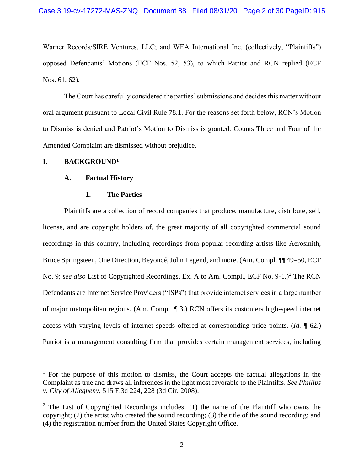Warner Records/SIRE Ventures, LLC; and WEA International Inc. (collectively, "Plaintiffs") opposed Defendants' Motions (ECF Nos. 52, 53), to which Patriot and RCN replied (ECF Nos. 61, 62).

The Court has carefully considered the parties' submissions and decides this matter without oral argument pursuant to Local Civil Rule 78.1. For the reasons set forth below, RCN's Motion to Dismiss is denied and Patriot's Motion to Dismiss is granted. Counts Three and Four of the Amended Complaint are dismissed without prejudice.

# **I. BACKGROUND<sup>1</sup>**

### **A. Factual History**

### **1. The Parties**

Plaintiffs are a collection of record companies that produce, manufacture, distribute, sell, license, and are copyright holders of, the great majority of all copyrighted commercial sound recordings in this country, including recordings from popular recording artists like Aerosmith, Bruce Springsteen, One Direction, Beyoncé, John Legend, and more. (Am. Compl. ¶¶ 49–50, ECF No. 9; *see also* List of Copyrighted Recordings, Ex. A to Am. Compl., ECF No. 9-1.)<sup>2</sup> The RCN Defendants are Internet Service Providers ("ISPs") that provide internet services in a large number of major metropolitan regions. (Am. Compl. ¶ 3.) RCN offers its customers high-speed internet access with varying levels of internet speeds offered at corresponding price points. (*Id.* ¶ 62.) Patriot is a management consulting firm that provides certain management services, including

 $1$  For the purpose of this motion to dismiss, the Court accepts the factual allegations in the Complaint as true and draws all inferences in the light most favorable to the Plaintiffs. *See Phillips v. City of Allegheny*, 515 F.3d 224, 228 (3d Cir. 2008).

<sup>&</sup>lt;sup>2</sup> The List of Copyrighted Recordings includes: (1) the name of the Plaintiff who owns the copyright; (2) the artist who created the sound recording; (3) the title of the sound recording; and (4) the registration number from the United States Copyright Office.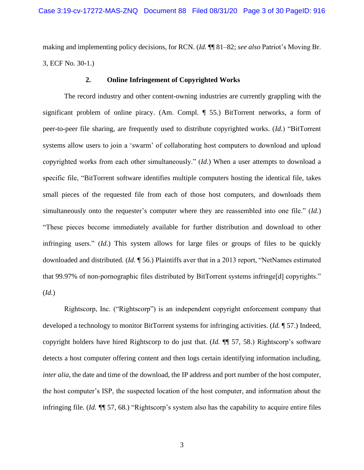making and implementing policy decisions, for RCN. (*Id.* ¶¶ 81–82; *see also* Patriot's Moving Br. 3, ECF No. 30-1.)

# **2. Online Infringement of Copyrighted Works**

The record industry and other content-owning industries are currently grappling with the significant problem of online piracy. (Am. Compl. ¶ 55.) BitTorrent networks, a form of peer-to-peer file sharing, are frequently used to distribute copyrighted works. (*Id.*) "BitTorrent systems allow users to join a 'swarm' of collaborating host computers to download and upload copyrighted works from each other simultaneously." (*Id.*) When a user attempts to download a specific file, "BitTorrent software identifies multiple computers hosting the identical file, takes small pieces of the requested file from each of those host computers, and downloads them simultaneously onto the requester's computer where they are reassembled into one file." (*Id.*) "These pieces become immediately available for further distribution and download to other infringing users." (*Id.*) This system allows for large files or groups of files to be quickly downloaded and distributed. (*Id.* ¶ 56.) Plaintiffs aver that in a 2013 report, "NetNames estimated that 99.97% of non-pornographic files distributed by BitTorrent systems infringe[d] copyrights." (*Id.*)

Rightscorp, Inc. ("Rightscorp") is an independent copyright enforcement company that developed a technology to monitor BitTorrent systems for infringing activities. (*Id.* ¶ 57.) Indeed, copyright holders have hired Rightscorp to do just that. (*Id.* ¶¶ 57, 58.) Rightscorp's software detects a host computer offering content and then logs certain identifying information including, *inter alia*, the date and time of the download, the IP address and port number of the host computer, the host computer's ISP, the suspected location of the host computer, and information about the infringing file. (*Id. ¶*¶ 57, 68.) "Rightscorp's system also has the capability to acquire entire files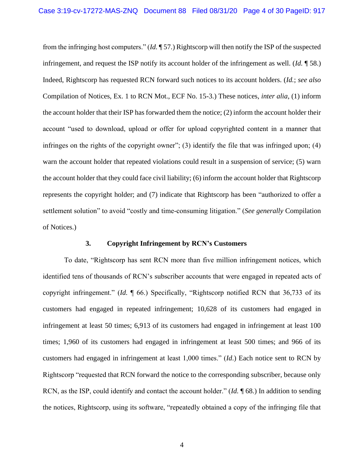from the infringing host computers." (*Id.* ¶ 57.) Rightscorp will then notify the ISP of the suspected infringement, and request the ISP notify its account holder of the infringement as well. (*Id.* ¶ 58.) Indeed, Rightscorp has requested RCN forward such notices to its account holders. (*Id.*; *see also* Compilation of Notices, Ex. 1 to RCN Mot., ECF No. 15-3.) These notices, *inter alia*, (1) inform the account holder that their ISP has forwarded them the notice; (2) inform the account holder their account "used to download, upload or offer for upload copyrighted content in a manner that infringes on the rights of the copyright owner"; (3) identify the file that was infringed upon; (4) warn the account holder that repeated violations could result in a suspension of service; (5) warn the account holder that they could face civil liability; (6) inform the account holder that Rightscorp represents the copyright holder; and (7) indicate that Rightscorp has been "authorized to offer a settlement solution" to avoid "costly and time-consuming litigation." (*See generally* Compilation of Notices.)

### **3. Copyright Infringement by RCN's Customers**

To date, "Rightscorp has sent RCN more than five million infringement notices, which identified tens of thousands of RCN's subscriber accounts that were engaged in repeated acts of copyright infringement." (*Id.* ¶ 66.) Specifically, "Rightscorp notified RCN that 36,733 of its customers had engaged in repeated infringement; 10,628 of its customers had engaged in infringement at least 50 times; 6,913 of its customers had engaged in infringement at least 100 times; 1,960 of its customers had engaged in infringement at least 500 times; and 966 of its customers had engaged in infringement at least 1,000 times." (*Id*.) Each notice sent to RCN by Rightscorp "requested that RCN forward the notice to the corresponding subscriber, because only RCN, as the ISP, could identify and contact the account holder." (*Id.* ¶ 68.) In addition to sending the notices, Rightscorp, using its software, "repeatedly obtained a copy of the infringing file that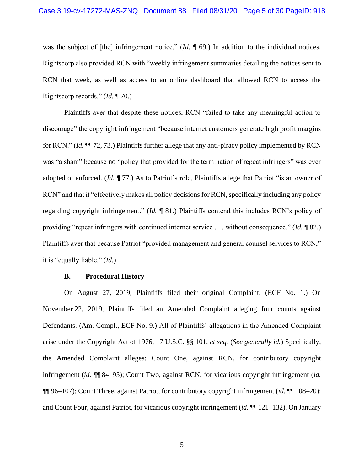was the subject of [the] infringement notice." (*Id.*  $\llbracket 69$ .) In addition to the individual notices, Rightscorp also provided RCN with "weekly infringement summaries detailing the notices sent to RCN that week, as well as access to an online dashboard that allowed RCN to access the Rightscorp records." (*Id.* ¶ 70.)

Plaintiffs aver that despite these notices, RCN "failed to take any meaningful action to discourage" the copyright infringement "because internet customers generate high profit margins for RCN." (*Id.* ¶¶ 72, 73.) Plaintiffs further allege that any anti-piracy policy implemented by RCN was "a sham" because no "policy that provided for the termination of repeat infringers" was ever adopted or enforced. (*Id.* ¶ 77.) As to Patriot's role, Plaintiffs allege that Patriot "is an owner of RCN" and that it "effectively makes all policy decisions for RCN, specifically including any policy regarding copyright infringement." (*Id.* ¶ 81.) Plaintiffs contend this includes RCN's policy of providing "repeat infringers with continued internet service . . . without consequence." (*Id.* ¶ 82.) Plaintiffs aver that because Patriot "provided management and general counsel services to RCN," it is "equally liable." (*Id.*)

#### **B. Procedural History**

On August 27, 2019, Plaintiffs filed their original Complaint. (ECF No. 1.) On November 22, 2019, Plaintiffs filed an Amended Complaint alleging four counts against Defendants. (Am. Compl., ECF No. 9.) All of Plaintiffs' allegations in the Amended Complaint arise under the Copyright Act of 1976, 17 U.S.C. §§ 101, *et seq.* (*See generally id.*) Specifically, the Amended Complaint alleges: Count One, against RCN, for contributory copyright infringement (*id.* ¶¶ 84–95); Count Two, against RCN, for vicarious copyright infringement (*id.* ¶¶ 96–107); Count Three, against Patriot, for contributory copyright infringement (*id.* ¶¶ 108–20); and Count Four, against Patriot, for vicarious copyright infringement (*id.* ¶¶ 121–132). On January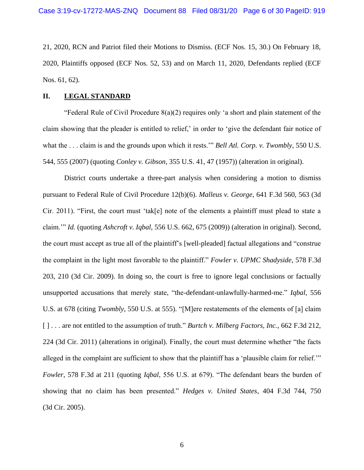21, 2020, RCN and Patriot filed their Motions to Dismiss. (ECF Nos. 15, 30.) On February 18, 2020, Plaintiffs opposed (ECF Nos. 52, 53) and on March 11, 2020, Defendants replied (ECF Nos. 61, 62).

### **II. LEGAL STANDARD**

"Federal Rule of Civil Procedure  $8(a)(2)$  requires only 'a short and plain statement of the claim showing that the pleader is entitled to relief,' in order to 'give the defendant fair notice of what the . . . claim is and the grounds upon which it rests.'" *Bell Atl. Corp. v. Twombly*, 550 U.S. 544, 555 (2007) (quoting *Conley v. Gibson*, 355 U.S. 41, 47 (1957)) (alteration in original).

District courts undertake a three-part analysis when considering a motion to dismiss pursuant to Federal Rule of Civil Procedure 12(b)(6). *Malleus v. George*, 641 F.3d 560, 563 (3d Cir. 2011). "First, the court must 'tak[e] note of the elements a plaintiff must plead to state a claim.'" *Id.* (quoting *Ashcroft v. Iqbal*, 556 U.S. 662, 675 (2009)) (alteration in original). Second, the court must accept as true all of the plaintiff's [well-pleaded] factual allegations and "construe the complaint in the light most favorable to the plaintiff." *Fowler v. UPMC Shadyside*, 578 F.3d 203, 210 (3d Cir. 2009). In doing so, the court is free to ignore legal conclusions or factually unsupported accusations that merely state, "the-defendant-unlawfully-harmed-me." *Iqbal*, 556 U.S. at 678 (citing *Twombly*, 550 U.S. at 555). "[M]ere restatements of the elements of [a] claim [ ] . . . are not entitled to the assumption of truth." *Burtch v. Milberg Factors, Inc.*, 662 F.3d 212, 224 (3d Cir. 2011) (alterations in original). Finally, the court must determine whether "the facts alleged in the complaint are sufficient to show that the plaintiff has a 'plausible claim for relief.'" *Fowler*, 578 F.3d at 211 (quoting *Iqbal*, 556 U.S. at 679). "The defendant bears the burden of showing that no claim has been presented." *Hedges v. United States*, 404 F.3d 744, 750 (3d Cir. 2005).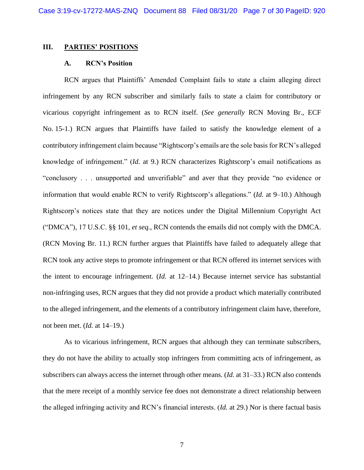### **III. PARTIES' POSITIONS**

### **A. RCN's Position**

RCN argues that Plaintiffs' Amended Complaint fails to state a claim alleging direct infringement by any RCN subscriber and similarly fails to state a claim for contributory or vicarious copyright infringement as to RCN itself. (*See generally* RCN Moving Br., ECF No. 15-1.) RCN argues that Plaintiffs have failed to satisfy the knowledge element of a contributory infringement claim because "Rightscorp's emails are the sole basis for RCN's alleged knowledge of infringement." (*Id.* at 9.) RCN characterizes Rightscorp's email notifications as "conclusory . . . unsupported and unverifiable" and aver that they provide "no evidence or information that would enable RCN to verify Rightscorp's allegations." (*Id.* at 9–10.) Although Rightscorp's notices state that they are notices under the Digital Millennium Copyright Act ("DMCA"), 17 U.S.C. §§ 101, *et seq.*, RCN contends the emails did not comply with the DMCA. (RCN Moving Br. 11.) RCN further argues that Plaintiffs have failed to adequately allege that RCN took any active steps to promote infringement or that RCN offered its internet services with the intent to encourage infringement. (*Id.* at 12–14.) Because internet service has substantial non-infringing uses, RCN argues that they did not provide a product which materially contributed to the alleged infringement, and the elements of a contributory infringement claim have, therefore, not been met. (*Id.* at 14–19.)

As to vicarious infringement, RCN argues that although they can terminate subscribers, they do not have the ability to actually stop infringers from committing acts of infringement, as subscribers can always access the internet through other means. (*Id.* at 31–33.) RCN also contends that the mere receipt of a monthly service fee does not demonstrate a direct relationship between the alleged infringing activity and RCN's financial interests. (*Id.* at 29.) Nor is there factual basis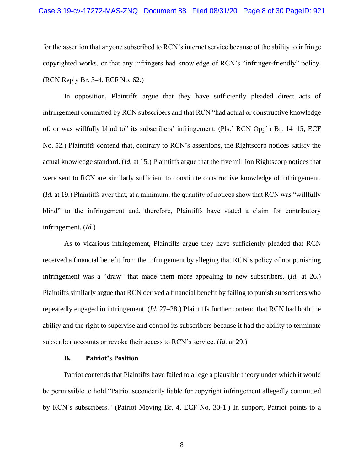### Case 3:19-cv-17272-MAS-ZNQ Document 88 Filed 08/31/20 Page 8 of 30 PageID: 921

for the assertion that anyone subscribed to RCN's internet service because of the ability to infringe copyrighted works, or that any infringers had knowledge of RCN's "infringer-friendly" policy. (RCN Reply Br. 3–4, ECF No. 62.)

In opposition, Plaintiffs argue that they have sufficiently pleaded direct acts of infringement committed by RCN subscribers and that RCN "had actual or constructive knowledge of, or was willfully blind to" its subscribers' infringement. (Pls.' RCN Opp'n Br. 14–15, ECF No. 52.) Plaintiffs contend that, contrary to RCN's assertions, the Rightscorp notices satisfy the actual knowledge standard. (*Id.* at 15.) Plaintiffs argue that the five million Rightscorp notices that were sent to RCN are similarly sufficient to constitute constructive knowledge of infringement. (*Id.* at 19.) Plaintiffs aver that, at a minimum, the quantity of notices show that RCN was "willfully blind" to the infringement and, therefore, Plaintiffs have stated a claim for contributory infringement. (*Id.*)

As to vicarious infringement, Plaintiffs argue they have sufficiently pleaded that RCN received a financial benefit from the infringement by alleging that RCN's policy of not punishing infringement was a "draw" that made them more appealing to new subscribers. (*Id.* at 26.) Plaintiffs similarly argue that RCN derived a financial benefit by failing to punish subscribers who repeatedly engaged in infringement. (*Id.* 27–28.) Plaintiffs further contend that RCN had both the ability and the right to supervise and control its subscribers because it had the ability to terminate subscriber accounts or revoke their access to RCN's service. (*Id.* at 29.)

### **B. Patriot's Position**

Patriot contends that Plaintiffs have failed to allege a plausible theory under which it would be permissible to hold "Patriot secondarily liable for copyright infringement allegedly committed by RCN's subscribers." (Patriot Moving Br. 4, ECF No. 30-1.) In support, Patriot points to a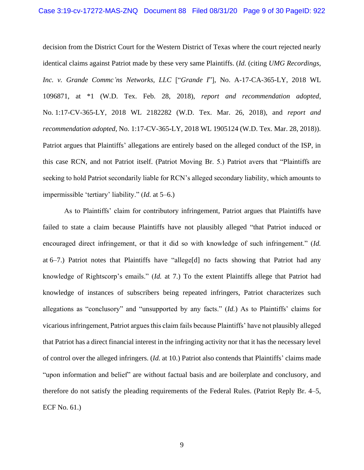decision from the District Court for the Western District of Texas where the court rejected nearly identical claims against Patriot made by these very same Plaintiffs. (*Id.* (citing *UMG Recordings, Inc. v. Grande Commc'ns Networks, LLC* ["*Grande I*"], No. A-17-CA-365-LY, 2018 WL 1096871, at \*1 (W.D. Tex. Feb. 28, 2018), *report and recommendation adopted*, No. 1:17-CV-365-LY, 2018 WL 2182282 (W.D. Tex. Mar. 26, 2018), and *report and recommendation adopted*, No. 1:17-CV-365-LY, 2018 WL 1905124 (W.D. Tex. Mar. 28, 2018)). Patriot argues that Plaintiffs' allegations are entirely based on the alleged conduct of the ISP, in this case RCN, and not Patriot itself. (Patriot Moving Br. 5.) Patriot avers that "Plaintiffs are seeking to hold Patriot secondarily liable for RCN's alleged secondary liability, which amounts to impermissible 'tertiary' liability." (*Id.* at 5–6.)

As to Plaintiffs' claim for contributory infringement, Patriot argues that Plaintiffs have failed to state a claim because Plaintiffs have not plausibly alleged "that Patriot induced or encouraged direct infringement, or that it did so with knowledge of such infringement." (*Id.* at 6–7.) Patriot notes that Plaintiffs have "allege[d] no facts showing that Patriot had any knowledge of Rightscorp's emails." (*Id.* at 7.) To the extent Plaintiffs allege that Patriot had knowledge of instances of subscribers being repeated infringers, Patriot characterizes such allegations as "conclusory" and "unsupported by any facts." (*Id.*) As to Plaintiffs' claims for vicarious infringement, Patriot argues this claim fails because Plaintiffs' have not plausibly alleged that Patriot has a direct financial interest in the infringing activity nor that it has the necessary level of control over the alleged infringers. (*Id.* at 10.) Patriot also contends that Plaintiffs' claims made "upon information and belief" are without factual basis and are boilerplate and conclusory, and therefore do not satisfy the pleading requirements of the Federal Rules. (Patriot Reply Br. 4–5, ECF No. 61.)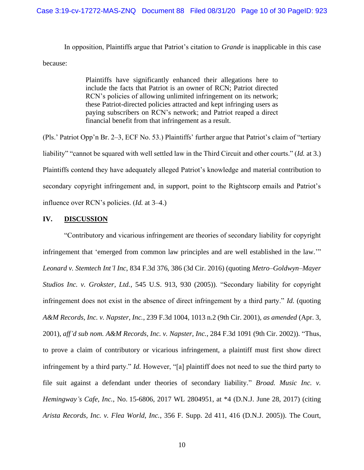In opposition, Plaintiffs argue that Patriot's citation to *Grande* is inapplicable in this case because:

> Plaintiffs have significantly enhanced their allegations here to include the facts that Patriot is an owner of RCN; Patriot directed RCN's policies of allowing unlimited infringement on its network; these Patriot-directed policies attracted and kept infringing users as paying subscribers on RCN's network; and Patriot reaped a direct financial benefit from that infringement as a result.

(Pls.' Patriot Opp'n Br. 2–3, ECF No. 53.) Plaintiffs' further argue that Patriot's claim of "tertiary liability" "cannot be squared with well settled law in the Third Circuit and other courts." (*Id.* at 3.) Plaintiffs contend they have adequately alleged Patriot's knowledge and material contribution to secondary copyright infringement and, in support, point to the Rightscorp emails and Patriot's influence over RCN's policies. (*Id.* at 3–4.)

# **IV. DISCUSSION**

"Contributory and vicarious infringement are theories of secondary liability for copyright infringement that 'emerged from common law principles and are well established in the law.'" *Leonard v. Stemtech Int'l Inc*, 834 F.3d 376, 386 (3d Cir. 2016) (quoting *Metro–Goldwyn–Mayer Studios Inc. v. Grokster, Ltd.*, 545 U.S. 913, 930 (2005)). "Secondary liability for copyright infringement does not exist in the absence of direct infringement by a third party." *Id.* (quoting *A&M Records, Inc. v. Napster, Inc.*, 239 F.3d 1004, 1013 n.2 (9th Cir. 2001), *as amended* (Apr. 3, 2001), *aff'd sub nom. A&M Records, Inc. v. Napster, Inc.*, 284 F.3d 1091 (9th Cir. 2002)). "Thus, to prove a claim of contributory or vicarious infringement, a plaintiff must first show direct infringement by a third party." *Id.* However, "[a] plaintiff does not need to sue the third party to file suit against a defendant under theories of secondary liability." *Broad. Music Inc. v. Hemingway's Cafe, Inc.*, No. 15-6806, 2017 WL 2804951, at \*4 (D.N.J. June 28, 2017) (citing *Arista Records, Inc. v. Flea World, Inc.*, 356 F. Supp. 2d 411, 416 (D.N.J. 2005)). The Court,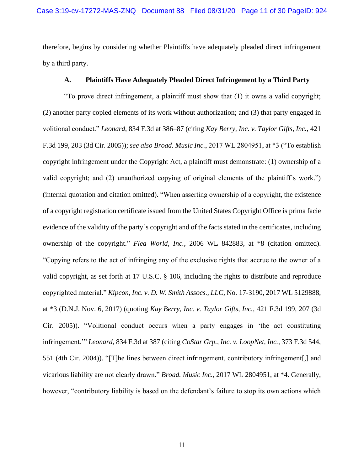therefore, begins by considering whether Plaintiffs have adequately pleaded direct infringement by a third party.

# **A. Plaintiffs Have Adequately Pleaded Direct Infringement by a Third Party**

"To prove direct infringement, a plaintiff must show that (1) it owns a valid copyright; (2) another party copied elements of its work without authorization; and (3) that party engaged in volitional conduct." *Leonard*, 834 F.3d at 386–87 (citing *Kay Berry, Inc. v. Taylor Gifts, Inc.*, 421 F.3d 199, 203 (3d Cir. 2005)); *see also Broad. Music Inc.*, 2017 WL 2804951, at \*3 ("To establish copyright infringement under the Copyright Act, a plaintiff must demonstrate: (1) ownership of a valid copyright; and (2) unauthorized copying of original elements of the plaintiff's work.") (internal quotation and citation omitted). "When asserting ownership of a copyright, the existence of a copyright registration certificate issued from the United States Copyright Office is prima facie evidence of the validity of the party's copyright and of the facts stated in the certificates, including ownership of the copyright." *Flea World, Inc.*, 2006 WL 842883, at \*8 (citation omitted). "Copying refers to the act of infringing any of the exclusive rights that accrue to the owner of a valid copyright, as set forth at 17 U.S.C. § 106, including the rights to distribute and reproduce copyrighted material." *Kipcon, Inc. v. D. W. Smith Assocs., LLC*, No. 17-3190, 2017 WL 5129888, at \*3 (D.N.J. Nov. 6, 2017) (quoting *Kay Berry, Inc. v. Taylor Gifts, Inc.*, 421 F.3d 199, 207 (3d Cir. 2005)). "Volitional conduct occurs when a party engages in 'the act constituting infringement.'" *Leonard*, 834 F.3d at 387 (citing *CoStar Grp., Inc. v. LoopNet, Inc.*, 373 F.3d 544, 551 (4th Cir. 2004)). "[T]he lines between direct infringement, contributory infringement[,] and vicarious liability are not clearly drawn." *Broad. Music Inc.*, 2017 WL 2804951, at \*4. Generally, however, "contributory liability is based on the defendant's failure to stop its own actions which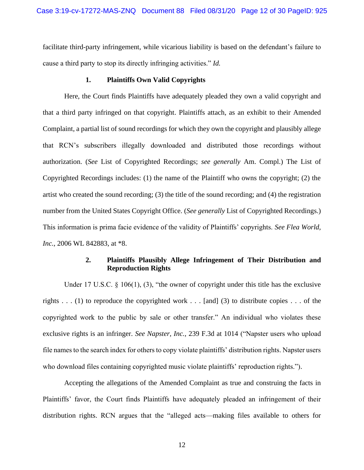facilitate third-party infringement, while vicarious liability is based on the defendant's failure to cause a third party to stop its directly infringing activities." *Id.*

### **1. Plaintiffs Own Valid Copyrights**

Here, the Court finds Plaintiffs have adequately pleaded they own a valid copyright and that a third party infringed on that copyright. Plaintiffs attach, as an exhibit to their Amended Complaint, a partial list of sound recordings for which they own the copyright and plausibly allege that RCN's subscribers illegally downloaded and distributed those recordings without authorization. (*See* List of Copyrighted Recordings; *see generally* Am. Compl.) The List of Copyrighted Recordings includes: (1) the name of the Plaintiff who owns the copyright; (2) the artist who created the sound recording; (3) the title of the sound recording; and (4) the registration number from the United States Copyright Office. (*See generally* List of Copyrighted Recordings.) This information is prima facie evidence of the validity of Plaintiffs' copyrights. *See Flea World, Inc.*, 2006 WL 842883, at \*8.

# **2. Plaintiffs Plausibly Allege Infringement of Their Distribution and Reproduction Rights**

Under 17 U.S.C. § 106(1), (3), "the owner of copyright under this title has the exclusive rights . . . (1) to reproduce the copyrighted work . . . [and] (3) to distribute copies . . . of the copyrighted work to the public by sale or other transfer." An individual who violates these exclusive rights is an infringer. *See Napster, Inc.*, 239 F.3d at 1014 ("Napster users who upload file names to the search index for others to copy violate plaintiffs' distribution rights. Napster users who download files containing copyrighted music violate plaintiffs' reproduction rights.").

Accepting the allegations of the Amended Complaint as true and construing the facts in Plaintiffs' favor, the Court finds Plaintiffs have adequately pleaded an infringement of their distribution rights. RCN argues that the "alleged acts—making files available to others for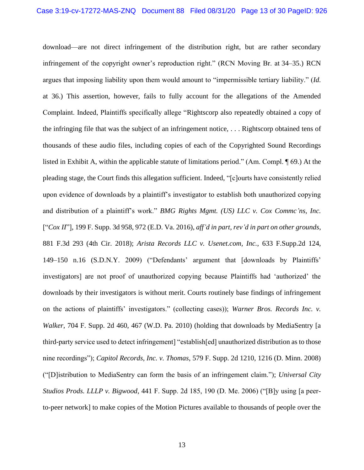download—are not direct infringement of the distribution right, but are rather secondary infringement of the copyright owner's reproduction right." (RCN Moving Br. at 34–35.) RCN argues that imposing liability upon them would amount to "impermissible tertiary liability." (*Id.* at 36.) This assertion, however, fails to fully account for the allegations of the Amended Complaint. Indeed, Plaintiffs specifically allege "Rightscorp also repeatedly obtained a copy of the infringing file that was the subject of an infringement notice, . . . Rightscorp obtained tens of thousands of these audio files, including copies of each of the Copyrighted Sound Recordings listed in Exhibit A, within the applicable statute of limitations period." (Am. Compl. ¶ 69.) At the pleading stage, the Court finds this allegation sufficient. Indeed, "[c]ourts have consistently relied upon evidence of downloads by a plaintiff's investigator to establish both unauthorized copying and distribution of a plaintiff's work." *BMG Rights Mgmt. (US) LLC v. Cox Commc'ns, Inc.* ["*Cox II*"], 199 F. Supp. 3d 958, 972 (E.D. Va. 2016), *aff'd in part, rev'd in part on other grounds*, 881 F.3d 293 (4th Cir. 2018); *Arista Records LLC v. Usenet.com, Inc.*, 633 F.Supp.2d 124, 149–150 n.16 (S.D.N.Y. 2009) ("Defendants' argument that [downloads by Plaintiffs' investigators] are not proof of unauthorized copying because Plaintiffs had 'authorized' the downloads by their investigators is without merit. Courts routinely base findings of infringement on the actions of plaintiffs' investigators." (collecting cases)); *Warner Bros. Records Inc. v. Walker*, 704 F. Supp. 2d 460, 467 (W.D. Pa. 2010) (holding that downloads by MediaSentry [a third-party service used to detect infringement] "establish[ed] unauthorized distribution as to those nine recordings"); *Capitol Records, Inc. v. Thomas*, 579 F. Supp. 2d 1210, 1216 (D. Minn. 2008) ("[D]istribution to MediaSentry can form the basis of an infringement claim."); *Universal City Studios Prods. LLLP v. Bigwood*, 441 F. Supp. 2d 185, 190 (D. Me. 2006) ("[B]y using [a peerto-peer network] to make copies of the Motion Pictures available to thousands of people over the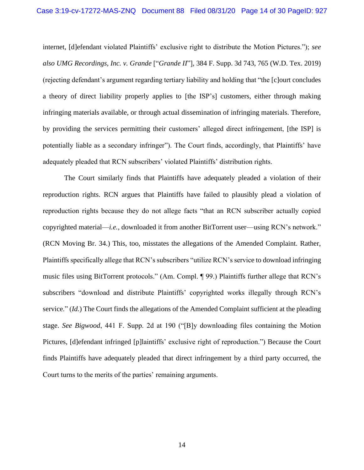internet, [d]efendant violated Plaintiffs' exclusive right to distribute the Motion Pictures."); *see also UMG Recordings, Inc. v. Grande* ["*Grande II*"], 384 F. Supp. 3d 743, 765 (W.D. Tex. 2019) (rejecting defendant's argument regarding tertiary liability and holding that "the [c]ourt concludes a theory of direct liability properly applies to [the ISP's] customers, either through making infringing materials available, or through actual dissemination of infringing materials. Therefore, by providing the services permitting their customers' alleged direct infringement, [the ISP] is potentially liable as a secondary infringer"). The Court finds, accordingly, that Plaintiffs' have adequately pleaded that RCN subscribers' violated Plaintiffs' distribution rights.

The Court similarly finds that Plaintiffs have adequately pleaded a violation of their reproduction rights. RCN argues that Plaintiffs have failed to plausibly plead a violation of reproduction rights because they do not allege facts "that an RCN subscriber actually copied copyrighted material—*i.e.*, downloaded it from another BitTorrent user—using RCN's network." (RCN Moving Br. 34.) This, too, misstates the allegations of the Amended Complaint. Rather, Plaintiffs specifically allege that RCN's subscribers "utilize RCN's service to download infringing music files using BitTorrent protocols." (Am. Compl. ¶ 99.) Plaintiffs further allege that RCN's subscribers "download and distribute Plaintiffs' copyrighted works illegally through RCN's service." (*Id.*) The Court finds the allegations of the Amended Complaint sufficient at the pleading stage. *See Bigwood*, 441 F. Supp. 2d at 190 ("[B]y downloading files containing the Motion Pictures, [d]efendant infringed [p]laintiffs' exclusive right of reproduction.") Because the Court finds Plaintiffs have adequately pleaded that direct infringement by a third party occurred, the Court turns to the merits of the parties' remaining arguments.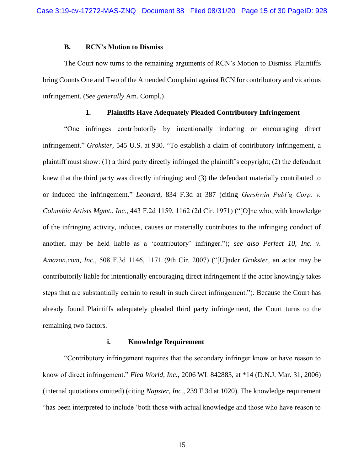### **B. RCN's Motion to Dismiss**

The Court now turns to the remaining arguments of RCN's Motion to Dismiss. Plaintiffs bring Counts One and Two of the Amended Complaint against RCN for contributory and vicarious infringement. (*See generally* Am. Compl.)

### **1. Plaintiffs Have Adequately Pleaded Contributory Infringement**

"One infringes contributorily by intentionally inducing or encouraging direct infringement." *Grokster*, 545 U.S. at 930. "To establish a claim of contributory infringement, a plaintiff must show: (1) a third party directly infringed the plaintiff's copyright; (2) the defendant knew that the third party was directly infringing; and (3) the defendant materially contributed to or induced the infringement." *Leonard*, 834 F.3d at 387 (citing *Gershwin Publ'g Corp. v. Columbia Artists Mgmt., Inc.*, 443 F.2d 1159, 1162 (2d Cir. 1971) ("[O]ne who, with knowledge of the infringing activity, induces, causes or materially contributes to the infringing conduct of another, may be held liable as a 'contributory' infringer."); *see also Perfect 10, Inc. v. Amazon.com, Inc.*, 508 F.3d 1146, 1171 (9th Cir. 2007) ("[U]nder *Grokster,* an actor may be contributorily liable for intentionally encouraging direct infringement if the actor knowingly takes steps that are substantially certain to result in such direct infringement."). Because the Court has already found Plaintiffs adequately pleaded third party infringement, the Court turns to the remaining two factors.

### **i. Knowledge Requirement**

"Contributory infringement requires that the secondary infringer know or have reason to know of direct infringement." *Flea World, Inc.*, 2006 WL 842883, at \*14 (D.N.J. Mar. 31, 2006) (internal quotations omitted) (citing *Napster, Inc.*, 239 F.3d at 1020). The knowledge requirement "has been interpreted to include 'both those with actual knowledge and those who have reason to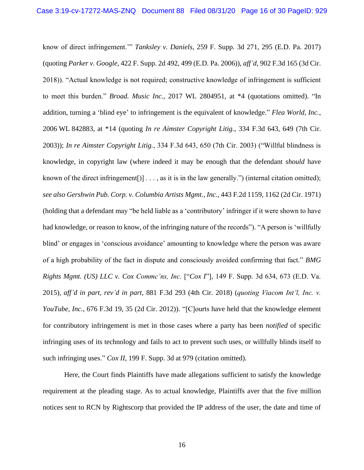know of direct infringement.'" *Tanksley v. Daniels*, 259 F. Supp. 3d 271, 295 (E.D. Pa. 2017) (quoting *Parker v. Google*, 422 F. Supp. 2d 492, 499 (E.D. Pa. 2006)), *aff'd*, 902 F.3d 165 (3d Cir. 2018)). "Actual knowledge is not required; constructive knowledge of infringement is sufficient to meet this burden." *Broad. Music Inc.*, 2017 WL 2804951, at \*4 (quotations omitted). "In addition, turning a 'blind eye' to infringement is the equivalent of knowledge." *Flea World, Inc.*, 2006 WL 842883, at \*14 (quoting *In re Aimster Copyright Litig.*, 334 F.3d 643, 649 (7th Cir. 2003)); *In re Aimster Copyright Litig.*, 334 F.3d 643, 650 (7th Cir. 2003) ("Willful blindness is knowledge, in copyright law (where indeed it may be enough that the defendant *should* have known of the direct infringement[)]  $\dots$ , as it is in the law generally.") (internal citation omitted); *see also Gershwin Pub. Corp. v. Columbia Artists Mgmt., Inc.*, 443 F.2d 1159, 1162 (2d Cir. 1971) (holding that a defendant may "be held liable as a 'contributory' infringer if it were shown to have had knowledge, or reason to know, of the infringing nature of the records"). "A person is 'willfully blind' or engages in 'conscious avoidance' amounting to knowledge where the person was aware of a high probability of the fact in dispute and consciously avoided confirming that fact." *BMG Rights Mgmt. (US) LLC v. Cox Commc'ns, Inc.* ["*Cox I*"], 149 F. Supp. 3d 634, 673 (E.D. Va. 2015), *aff'd in part, rev'd in part*, 881 F.3d 293 (4th Cir. 2018) (*quoting Viacom Int'l, Inc. v. YouTube, Inc.*, 676 F.3d 19, 35 (2d Cir. 2012)). "[C]ourts have held that the knowledge element for contributory infringement is met in those cases where a party has been *notified* of specific infringing uses of its technology and fails to act to prevent such uses, or willfully blinds itself to such infringing uses." *Cox II*, 199 F. Supp. 3d at 979 (citation omitted).

Here, the Court finds Plaintiffs have made allegations sufficient to satisfy the knowledge requirement at the pleading stage. As to actual knowledge, Plaintiffs aver that the five million notices sent to RCN by Rightscorp that provided the IP address of the user, the date and time of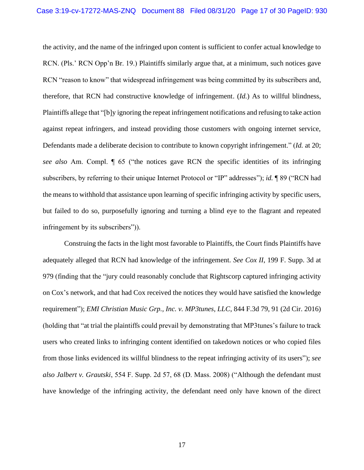the activity, and the name of the infringed upon content is sufficient to confer actual knowledge to RCN. (Pls.' RCN Opp'n Br. 19.) Plaintiffs similarly argue that, at a minimum, such notices gave RCN "reason to know" that widespread infringement was being committed by its subscribers and, therefore, that RCN had constructive knowledge of infringement. (*Id.*) As to willful blindness, Plaintiffs allege that "[b]y ignoring the repeat infringement notifications and refusing to take action against repeat infringers, and instead providing those customers with ongoing internet service, Defendants made a deliberate decision to contribute to known copyright infringement." (*Id.* at 20; *see also* Am. Compl. ¶ 65 ("the notices gave RCN the specific identities of its infringing subscribers, by referring to their unique Internet Protocol or "IP" addresses"); *id.* ¶ 89 ("RCN had the means to withhold that assistance upon learning of specific infringing activity by specific users, but failed to do so, purposefully ignoring and turning a blind eye to the flagrant and repeated infringement by its subscribers")).

Construing the facts in the light most favorable to Plaintiffs, the Court finds Plaintiffs have adequately alleged that RCN had knowledge of the infringement. *See Cox II*, 199 F. Supp. 3d at 979 (finding that the "jury could reasonably conclude that Rightscorp captured infringing activity on Cox's network, and that had Cox received the notices they would have satisfied the knowledge requirement"); *EMI Christian Music Grp., Inc. v. MP3tunes, LLC*, 844 F.3d 79, 91 (2d Cir. 2016) (holding that "at trial the plaintiffs could prevail by demonstrating that MP3tunes's failure to track users who created links to infringing content identified on takedown notices or who copied files from those links evidenced its willful blindness to the repeat infringing activity of its users"); *see also Jalbert v. Grautski*, 554 F. Supp. 2d 57, 68 (D. Mass. 2008) ("Although the defendant must have knowledge of the infringing activity, the defendant need only have known of the direct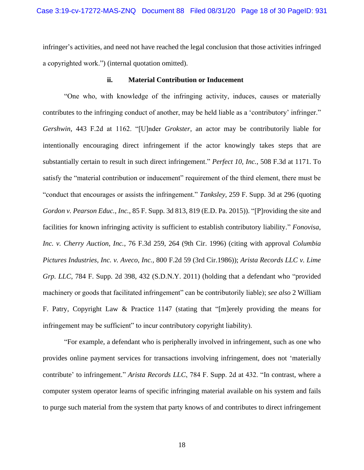infringer's activities, and need not have reached the legal conclusion that those activities infringed a copyrighted work.") (internal quotation omitted).

#### **ii. Material Contribution or Inducement**

"One who, with knowledge of the infringing activity, induces, causes or materially contributes to the infringing conduct of another, may be held liable as a 'contributory' infringer." *Gershwin*, 443 F.2d at 1162. "[U]nder *Grokster*, an actor may be contributorily liable for intentionally encouraging direct infringement if the actor knowingly takes steps that are substantially certain to result in such direct infringement." *Perfect 10, Inc.*, 508 F.3d at 1171. To satisfy the "material contribution or inducement" requirement of the third element, there must be "conduct that encourages or assists the infringement." *Tanksley*, 259 F. Supp. 3d at 296 (quoting *Gordon v. Pearson Educ., Inc.*, 85 F. Supp. 3d 813, 819 (E.D. Pa. 2015)). "[P]roviding the site and facilities for known infringing activity is sufficient to establish contributory liability." *Fonovisa, Inc. v. Cherry Auction, Inc.*, 76 F.3d 259, 264 (9th Cir. 1996) (citing with approval *Columbia Pictures Industries, Inc. v. Aveco, Inc.,* 800 F.2d 59 (3rd Cir.1986)); *Arista Records LLC v. Lime Grp. LLC*, 784 F. Supp. 2d 398, 432 (S.D.N.Y. 2011) (holding that a defendant who "provided machinery or goods that facilitated infringement" can be contributorily liable); *see also* 2 William F. Patry, Copyright Law & Practice 1147 (stating that "[m]erely providing the means for infringement may be sufficient" to incur contributory copyright liability).

"For example, a defendant who is peripherally involved in infringement, such as one who provides online payment services for transactions involving infringement, does not 'materially contribute' to infringement." *Arista Records LLC*, 784 F. Supp. 2d at 432. "In contrast, where a computer system operator learns of specific infringing material available on his system and fails to purge such material from the system that party knows of and contributes to direct infringement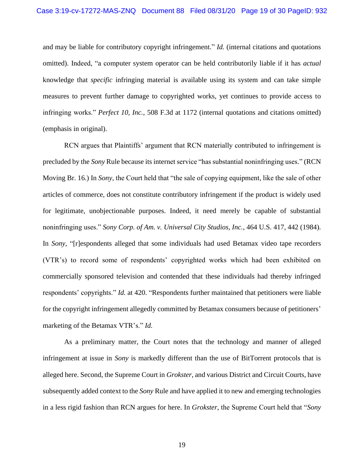and may be liable for contributory copyright infringement." *Id.* (internal citations and quotations omitted). Indeed, "a computer system operator can be held contributorily liable if it has *actual* knowledge that *specific* infringing material is available using its system and can take simple measures to prevent further damage to copyrighted works, yet continues to provide access to infringing works." *Perfect 10, Inc.*, 508 F.3d at 1172 (internal quotations and citations omitted) (emphasis in original).

RCN argues that Plaintiffs' argument that RCN materially contributed to infringement is precluded by the *Sony* Rule because its internet service "has substantial noninfringing uses." (RCN Moving Br. 16.) In *Sony*, the Court held that "the sale of copying equipment, like the sale of other articles of commerce, does not constitute contributory infringement if the product is widely used for legitimate, unobjectionable purposes. Indeed, it need merely be capable of substantial noninfringing uses." *Sony Corp. of Am. v. Universal City Studios, Inc.*, 464 U.S. 417, 442 (1984). In *Sony*, "[r]espondents alleged that some individuals had used Betamax video tape recorders (VTR's) to record some of respondents' copyrighted works which had been exhibited on commercially sponsored television and contended that these individuals had thereby infringed respondents' copyrights." *Id.* at 420. "Respondents further maintained that petitioners were liable for the copyright infringement allegedly committed by Betamax consumers because of petitioners' marketing of the Betamax VTR's." *Id.*

As a preliminary matter, the Court notes that the technology and manner of alleged infringement at issue in *Sony* is markedly different than the use of BitTorrent protocols that is alleged here. Second, the Supreme Court in *Grokster*, and various District and Circuit Courts, have subsequently added context to the *Sony* Rule and have applied it to new and emerging technologies in a less rigid fashion than RCN argues for here. In *Grokster*, the Supreme Court held that "*Sony*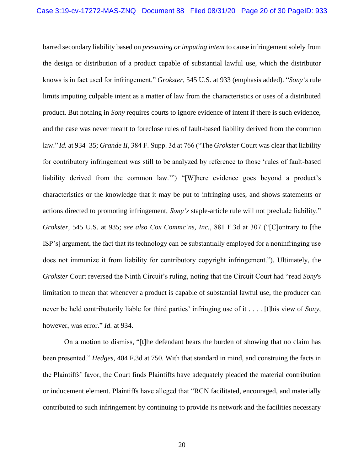barred secondary liability based on *presuming or imputing intent* to cause infringement solely from the design or distribution of a product capable of substantial lawful use, which the distributor knows is in fact used for infringement." *Grokster*, 545 U.S. at 933 (emphasis added). "*Sony's* rule limits imputing culpable intent as a matter of law from the characteristics or uses of a distributed product. But nothing in *Sony* requires courts to ignore evidence of intent if there is such evidence, and the case was never meant to foreclose rules of fault-based liability derived from the common law." *Id.* at 934–35; *Grande II*, 384 F. Supp. 3d at 766 ("The *Grokster* Court was clear that liability for contributory infringement was still to be analyzed by reference to those 'rules of fault-based liability derived from the common law.'") "[W]here evidence goes beyond a product's characteristics or the knowledge that it may be put to infringing uses, and shows statements or actions directed to promoting infringement, *Sony's* staple-article rule will not preclude liability." *Grokster*, 545 U.S. at 935; *see also Cox Commc'ns, Inc.*, 881 F.3d at 307 ("[C]ontrary to [the ISP's] argument, the fact that its technology can be substantially employed for a noninfringing use does not immunize it from liability for contributory copyright infringement.")*.* Ultimately, the *Grokster* Court reversed the Ninth Circuit's ruling, noting that the Circuit Court had "read *Sony*'s limitation to mean that whenever a product is capable of substantial lawful use, the producer can never be held contributorily liable for third parties' infringing use of it . . . . [t]his view of *Sony*, however, was error." *Id.* at 934.

On a motion to dismiss, "[t]he defendant bears the burden of showing that no claim has been presented." *Hedges*, 404 F.3d at 750. With that standard in mind, and construing the facts in the Plaintiffs' favor, the Court finds Plaintiffs have adequately pleaded the material contribution or inducement element. Plaintiffs have alleged that "RCN facilitated, encouraged, and materially contributed to such infringement by continuing to provide its network and the facilities necessary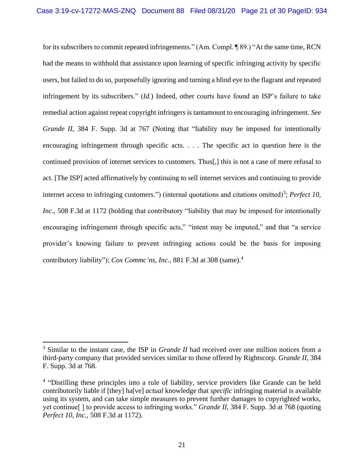for its subscribers to commit repeated infringements." (Am. Compl. ¶ 89.) "At the same time, RCN had the means to withhold that assistance upon learning of specific infringing activity by specific users, but failed to do so, purposefully ignoring and turning a blind eye to the flagrant and repeated infringement by its subscribers." (*Id.*) Indeed, other courts have found an ISP's failure to take remedial action against repeat copyright infringers is tantamount to encouraging infringement. *See Grande II*, 384 F. Supp. 3d at 767 (Noting that "liability may be imposed for intentionally encouraging infringement through specific acts. . . . The specific act in question here is the continued provision of internet services to customers. Thus[,] this is not a case of mere refusal to act. [The ISP] acted affirmatively by continuing to sell internet services and continuing to provide internet access to infringing customers.") (internal quotations and citations omitted)<sup>3</sup>; *Perfect 10*, *Inc.*, 508 F.3d at 1172 (holding that contributory "liability that may be imposed for intentionally encouraging infringement through specific acts," "intent may be imputed," and that "a service provider's knowing failure to prevent infringing actions could be the basis for imposing contributory liability"); *Cox Commc'ns, Inc.*, 881 F.3d at 308 (same).<sup>4</sup>

<sup>3</sup> Similar to the instant case, the ISP in *Grande II* had received over one million notices from a third-party company that provided services similar to those offered by Rightscorp. *Grande II*, 384 F. Supp. 3d at 768.

<sup>&</sup>lt;sup>4</sup> "Distilling these principles into a rule of liability, service providers like Grande can be held contributorily liable if [they] ha[ve] *actual* knowledge that *specific* infringing material is available using its system, and can take simple measures to prevent further damages to copyrighted works, yet continue[ ] to provide access to infringing works." *Grande II*, 384 F. Supp. 3d at 768 (quoting *Perfect 10, Inc.*, 508 F.3d at 1172).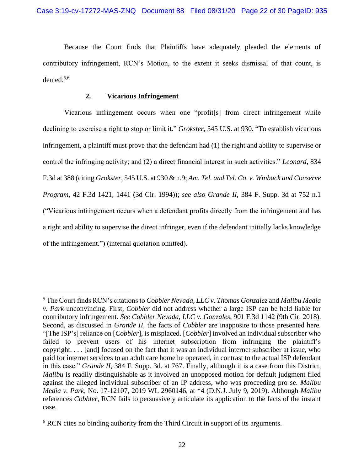Because the Court finds that Plaintiffs have adequately pleaded the elements of contributory infringement, RCN's Motion, to the extent it seeks dismissal of that count, is denied.5,6

# **2. Vicarious Infringement**

Vicarious infringement occurs when one "profit[s] from direct infringement while declining to exercise a right to stop or limit it." *Grokster*, 545 U.S. at 930. "To establish vicarious infringement, a plaintiff must prove that the defendant had (1) the right and ability to supervise or control the infringing activity; and (2) a direct financial interest in such activities." *Leonard*, 834 F.3d at 388 (citing *Grokster*, 545 U.S. at 930 & n.9; *Am. Tel. and Tel. Co. v. Winback and Conserve Program*, 42 F.3d 1421, 1441 (3d Cir. 1994)); *see also Grande II*, 384 F. Supp. 3d at 752 n.1 ("Vicarious infringement occurs when a defendant profits directly from the infringement and has a right and ability to supervise the direct infringer, even if the defendant initially lacks knowledge of the infringement.") (internal quotation omitted).

<sup>5</sup> The Court finds RCN's citations to *Cobbler Nevada, LLC v. Thomas Gonzalez* and *Malibu Media v. Park* unconvincing. First, *Cobbler* did not address whether a large ISP can be held liable for contributory infringement. *See Cobbler Nevada, LLC v. Gonzales*, 901 F.3d 1142 (9th Cir. 2018). Second, as discussed in *Grande II*, the facts of *Cobbler* are inapposite to those presented here. "[The ISP's] reliance on [*Cobbler*], is misplaced. [*Cobbler*] involved an individual subscriber who failed to prevent users of his internet subscription from infringing the plaintiff's copyright. . . . [and] focused on the fact that it was an individual internet subscriber at issue, who paid for internet services to an adult care home he operated, in contrast to the actual ISP defendant in this case." *Grande II*, 384 F. Supp. 3d. at 767. Finally, although it is a case from this District, *Malibu* is readily distinguishable as it involved an unopposed motion for default judgment filed against the alleged individual subscriber of an IP address, who was proceeding pro se. *Malibu Media v. Park*, No. 17-12107, 2019 WL 2960146, at \*4 (D.N.J. July 9, 2019). Although *Malibu* references *Cobbler*, RCN fails to persuasively articulate its application to the facts of the instant case.

<sup>&</sup>lt;sup>6</sup> RCN cites no binding authority from the Third Circuit in support of its arguments.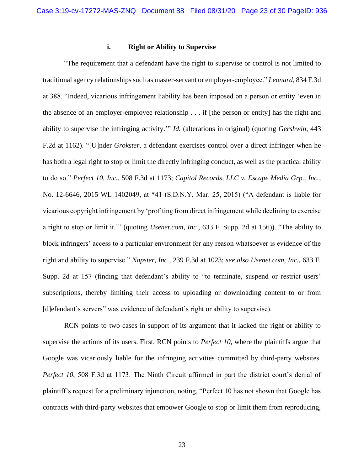# **i. Right or Ability to Supervise**

"The requirement that a defendant have the right to supervise or control is not limited to traditional agency relationships such as master-servant or employer-employee." *Leonard*, 834 F.3d at 388. "Indeed, vicarious infringement liability has been imposed on a person or entity 'even in the absence of an employer-employee relationship . . . if [the person or entity] has the right and ability to supervise the infringing activity.'" *Id.* (alterations in original) (quoting *Gershwin*, 443 F.2d at 1162). "[U]nder *Grokster,* a defendant exercises control over a direct infringer when he has both a legal right to stop or limit the directly infringing conduct, as well as the practical ability to do so." *Perfect 10, Inc.*, 508 F.3d at 1173; *Capitol Records, LLC v. Escape Media Grp., Inc.*, No. 12-6646, 2015 WL 1402049, at \*41 (S.D.N.Y. Mar. 25, 2015) ("A defendant is liable for vicarious copyright infringement by 'profiting from direct infringement while declining to exercise a right to stop or limit it.'" (quoting *Usenet.com, Inc.*, 633 F. Supp. 2d at 156)). "The ability to block infringers' access to a particular environment for any reason whatsoever is evidence of the right and ability to supervise." *Napster, Inc.*, 239 F.3d at 1023; *see also Usenet.com, Inc.*, 633 F. Supp. 2d at 157 (finding that defendant's ability to "to terminate, suspend or restrict users' subscriptions, thereby limiting their access to uploading or downloading content to or from [d]efendant's servers" was evidence of defendant's right or ability to supervise).

RCN points to two cases in support of its argument that it lacked the right or ability to supervise the actions of its users. First, RCN points to *Perfect 10*, where the plaintiffs argue that Google was vicariously liable for the infringing activities committed by third-party websites. *Perfect 10*, 508 F.3d at 1173. The Ninth Circuit affirmed in part the district court's denial of plaintiff's request for a preliminary injunction, noting, "Perfect 10 has not shown that Google has contracts with third-party websites that empower Google to stop or limit them from reproducing,

23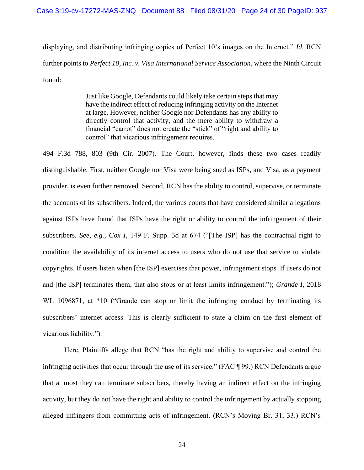displaying, and distributing infringing copies of Perfect 10's images on the Internet." *Id*. RCN further points to *Perfect 10, Inc. v. Visa International Service Association*, where the Ninth Circuit found:

> Just like Google, Defendants could likely take certain steps that may have the indirect effect of reducing infringing activity on the Internet at large. However, neither Google nor Defendants has any ability to directly control that activity, and the mere ability to withdraw a financial "carrot" does not create the "stick" of "right and ability to control" that vicarious infringement requires.

494 F.3d 788, 803 (9th Cir. 2007). The Court, however, finds these two cases readily distinguishable. First, neither Google nor Visa were being sued as ISPs, and Visa, as a payment provider, is even further removed. Second, RCN has the ability to control, supervise, or terminate the accounts of its subscribers. Indeed, the various courts that have considered similar allegations against ISPs have found that ISPs have the right or ability to control the infringement of their subscribers. *See, e.g.*, *Cox I*, 149 F. Supp. 3d at 674 ("[The ISP] has the contractual right to condition the availability of its internet access to users who do not use that service to violate copyrights. If users listen when [the ISP] exercises that power, infringement stops. If users do not and [the ISP] terminates them, that also stops or at least limits infringement."); *Grande I*, 2018 WL 1096871, at \*10 ("Grande can stop or limit the infringing conduct by terminating its subscribers' internet access. This is clearly sufficient to state a claim on the first element of vicarious liability.").

Here, Plaintiffs allege that RCN "has the right and ability to supervise and control the infringing activities that occur through the use of its service." (FAC ¶ 99.) RCN Defendants argue that at most they can terminate subscribers, thereby having an indirect effect on the infringing activity, but they do not have the right and ability to control the infringement by actually stopping alleged infringers from committing acts of infringement. (RCN's Moving Br. 31, 33.) RCN's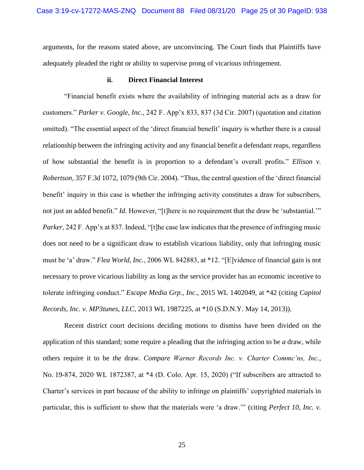arguments, for the reasons stated above, are unconvincing. The Court finds that Plaintiffs have adequately pleaded the right or ability to supervise prong of vicarious infringement.

# **ii. Direct Financial Interest**

"Financial benefit exists where the availability of infringing material acts as a draw for customers." *Parker v. Google, Inc.*, 242 F. App'x 833, 837 (3d Cir. 2007) (quotation and citation omitted). "The essential aspect of the 'direct financial benefit' inquiry is whether there is a causal relationship between the infringing activity and any financial benefit a defendant reaps, regardless of how substantial the benefit is in proportion to a defendant's overall profits." *Ellison v. Robertson*, 357 F.3d 1072, 1079 (9th Cir. 2004). "Thus, the central question of the 'direct financial benefit' inquiry in this case is whether the infringing activity constitutes a draw for subscribers, not just an added benefit." *Id.* However, "[t]here is no requirement that the draw be 'substantial." *Parker*, 242 F. App'x at 837. Indeed, "[t]he case law indicates that the presence of infringing music does not need to be a significant draw to establish vicarious liability, only that infringing music must be 'a' draw." *Flea World, Inc.*, 2006 WL 842883, at \*12. "[E]vidence of financial gain is not necessary to prove vicarious liability as long as the service provider has an economic incentive to tolerate infringing conduct." *Escape Media Grp., Inc.*, 2015 WL 1402049, at \*42 (citing *Capitol Records, Inc. v. MP3tunes, LLC*, 2013 WL 1987225, at \*10 (S.D.N.Y. May 14, 2013)).

Recent district court decisions deciding motions to dismiss have been divided on the application of this standard; some require a pleading that the infringing action to be *a* draw, while others require it to be *the* draw. *Compare Warner Records Inc. v. Charter Commc'ns, Inc.*, No. 19-874, 2020 WL 1872387, at \*4 (D. Colo. Apr. 15, 2020) ("If subscribers are attracted to Charter's services in part because of the ability to infringe on plaintiffs' copyrighted materials in particular, this is sufficient to show that the materials were 'a draw.'" (citing *Perfect 10, Inc. v.*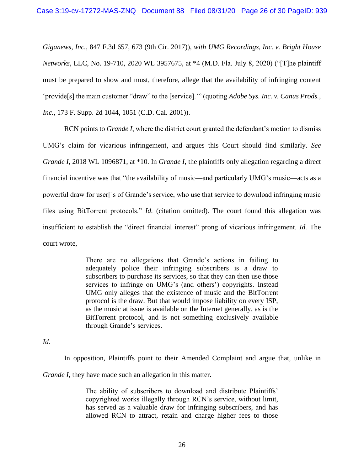*Giganews, Inc.*, 847 F.3d 657, 673 (9th Cir. 2017)), *with UMG Recordings, Inc. v. Bright House Networks*, LLC, No. 19-710, 2020 WL 3957675, at \*4 (M.D. Fla. July 8, 2020) ("[T]he plaintiff must be prepared to show and must, therefore, allege that the availability of infringing content 'provide[s] the main customer "draw" to the [service].'" (quoting *Adobe Sys. Inc. v. Canus Prods., Inc.*, 173 F. Supp. 2d 1044, 1051 (C.D. Cal. 2001)).

RCN points to *Grande I*, where the district court granted the defendant's motion to dismiss UMG's claim for vicarious infringement, and argues this Court should find similarly. *See Grande I*, 2018 WL 1096871, at \*10. In *Grande I*, the plaintiffs only allegation regarding a direct financial incentive was that "the availability of music—and particularly UMG's music—acts as a powerful draw for user[]s of Grande's service, who use that service to download infringing music files using BitTorrent protocols." *Id.* (citation omitted). The court found this allegation was insufficient to establish the "direct financial interest" prong of vicarious infringement. *Id.* The court wrote,

> There are no allegations that Grande's actions in failing to adequately police their infringing subscribers is a draw to subscribers to purchase its services, so that they can then use those services to infringe on UMG's (and others') copyrights. Instead UMG only alleges that the existence of music and the BitTorrent protocol is the draw. But that would impose liability on every ISP, as the music at issue is available on the Internet generally, as is the BitTorrent protocol, and is not something exclusively available through Grande's services.

*Id.*

In opposition, Plaintiffs point to their Amended Complaint and argue that, unlike in

*Grande I*, they have made such an allegation in this matter.

The ability of subscribers to download and distribute Plaintiffs' copyrighted works illegally through RCN's service, without limit, has served as a valuable draw for infringing subscribers, and has allowed RCN to attract, retain and charge higher fees to those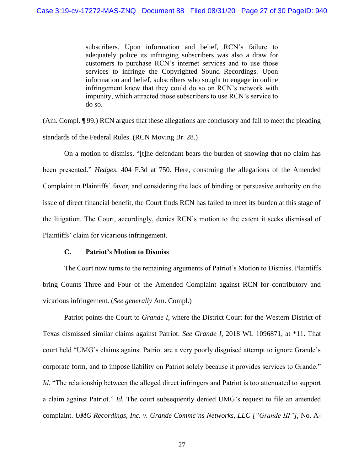subscribers. Upon information and belief, RCN's failure to adequately police its infringing subscribers was also a draw for customers to purchase RCN's internet services and to use those services to infringe the Copyrighted Sound Recordings. Upon information and belief, subscribers who sought to engage in online infringement knew that they could do so on RCN's network with impunity, which attracted those subscribers to use RCN's service to do so.

(Am. Compl. ¶ 99.) RCN argues that these allegations are conclusory and fail to meet the pleading standards of the Federal Rules. (RCN Moving Br. 28.)

On a motion to dismiss, "[t]he defendant bears the burden of showing that no claim has been presented." *Hedges*, 404 F.3d at 750. Here, construing the allegations of the Amended Complaint in Plaintiffs' favor, and considering the lack of binding or persuasive authority on the issue of direct financial benefit, the Court finds RCN has failed to meet its burden at this stage of the litigation. The Court, accordingly, denies RCN's motion to the extent it seeks dismissal of Plaintiffs' claim for vicarious infringement.

### **C. Patriot's Motion to Dismiss**

The Court now turns to the remaining arguments of Patriot's Motion to Dismiss. Plaintiffs bring Counts Three and Four of the Amended Complaint against RCN for contributory and vicarious infringement. (*See generally* Am. Compl.)

Patriot points the Court to *Grande I*, where the District Court for the Western District of Texas dismissed similar claims against Patriot. *See Grande I*, 2018 WL 1096871, at \*11. That court held "UMG's claims against Patriot are a very poorly disguised attempt to ignore Grande's corporate form, and to impose liability on Patriot solely because it provides services to Grande." *Id.* "The relationship between the alleged direct infringers and Patriot is too attenuated to support a claim against Patriot." *Id.* The court subsequently denied UMG's request to file an amended complaint. *UMG Recordings, Inc. v. Grande Commc'ns Networks, LLC ["Grande III"]*, No. A-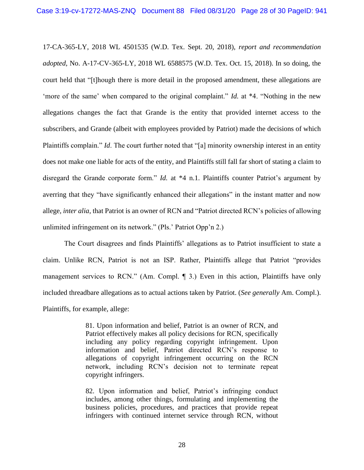17-CA-365-LY, 2018 WL 4501535 (W.D. Tex. Sept. 20, 2018), *report and recommendation adopted*, No. A-17-CV-365-LY, 2018 WL 6588575 (W.D. Tex. Oct. 15, 2018). In so doing, the court held that "[t]hough there is more detail in the proposed amendment, these allegations are 'more of the same' when compared to the original complaint." *Id.* at \*4. "Nothing in the new allegations changes the fact that Grande is the entity that provided internet access to the subscribers, and Grande (albeit with employees provided by Patriot) made the decisions of which Plaintiffs complain." *Id*. The court further noted that "[a] minority ownership interest in an entity does not make one liable for acts of the entity, and Plaintiffs still fall far short of stating a claim to disregard the Grande corporate form." *Id.* at \*4 n.1. Plaintiffs counter Patriot's argument by averring that they "have significantly enhanced their allegations" in the instant matter and now allege, *inter alia*, that Patriot is an owner of RCN and "Patriot directed RCN's policies of allowing unlimited infringement on its network." (Pls.' Patriot Opp'n 2.)

The Court disagrees and finds Plaintiffs' allegations as to Patriot insufficient to state a claim. Unlike RCN, Patriot is not an ISP. Rather, Plaintiffs allege that Patriot "provides management services to RCN." (Am. Compl. ¶ 3.) Even in this action, Plaintiffs have only included threadbare allegations as to actual actions taken by Patriot. (*See generally* Am. Compl.). Plaintiffs, for example, allege:

> 81. Upon information and belief, Patriot is an owner of RCN, and Patriot effectively makes all policy decisions for RCN, specifically including any policy regarding copyright infringement. Upon information and belief, Patriot directed RCN's response to allegations of copyright infringement occurring on the RCN network, including RCN's decision not to terminate repeat copyright infringers.

> 82. Upon information and belief, Patriot's infringing conduct includes, among other things, formulating and implementing the business policies, procedures, and practices that provide repeat infringers with continued internet service through RCN, without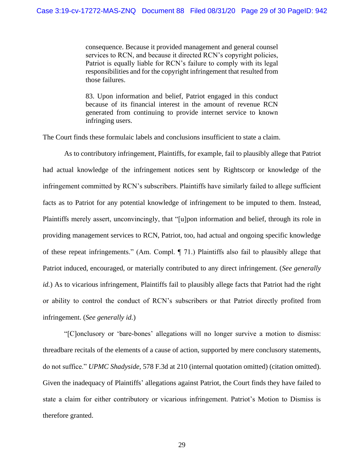consequence. Because it provided management and general counsel services to RCN, and because it directed RCN's copyright policies, Patriot is equally liable for RCN's failure to comply with its legal responsibilities and for the copyright infringement that resulted from those failures.

83. Upon information and belief, Patriot engaged in this conduct because of its financial interest in the amount of revenue RCN generated from continuing to provide internet service to known infringing users.

The Court finds these formulaic labels and conclusions insufficient to state a claim.

As to contributory infringement, Plaintiffs, for example, fail to plausibly allege that Patriot had actual knowledge of the infringement notices sent by Rightscorp or knowledge of the infringement committed by RCN's subscribers. Plaintiffs have similarly failed to allege sufficient facts as to Patriot for any potential knowledge of infringement to be imputed to them. Instead, Plaintiffs merely assert, unconvincingly, that "[u]pon information and belief, through its role in providing management services to RCN, Patriot, too, had actual and ongoing specific knowledge of these repeat infringements." (Am. Compl. ¶ 71.) Plaintiffs also fail to plausibly allege that Patriot induced, encouraged, or materially contributed to any direct infringement. (*See generally id.*) As to vicarious infringement, Plaintiffs fail to plausibly allege facts that Patriot had the right or ability to control the conduct of RCN's subscribers or that Patriot directly profited from infringement. (*See generally id.*)

"[C]onclusory or 'bare-bones' allegations will no longer survive a motion to dismiss: threadbare recitals of the elements of a cause of action, supported by mere conclusory statements, do not suffice." *UPMC Shadyside*, 578 F.3d at 210 (internal quotation omitted) (citation omitted). Given the inadequacy of Plaintiffs' allegations against Patriot, the Court finds they have failed to state a claim for either contributory or vicarious infringement. Patriot's Motion to Dismiss is therefore granted.